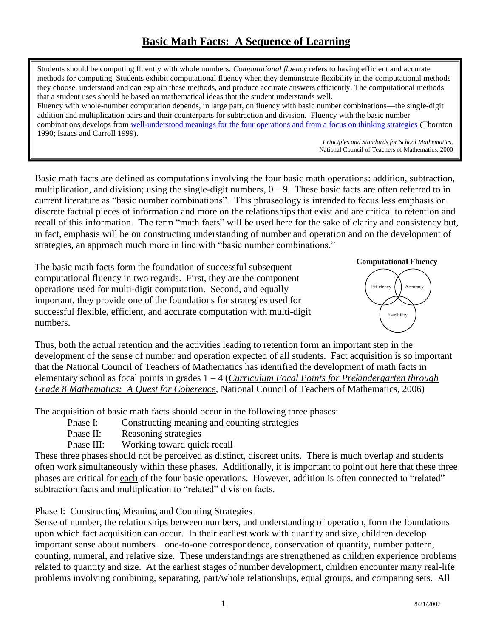# **Basic Math Facts: A Sequence of Learning**

Students should be computing fluently with whole numbers. *Computational fluency* refers to having efficient and accurate methods for computing. Students exhibit computational fluency when they demonstrate flexibility in the computational methods they choose, understand and can explain these methods, and produce accurate answers efficiently. The computational methods that a student uses should be based on mathematical ideas that the student understands well. Fluency with whole-number computation depends, in large part, on fluency with basic number combinations—the single-digit addition and multiplication pairs and their counterparts for subtraction and division. Fluency with the basic number combinations develops fro[m well-understood meanings for the four operations and from a focus on thinking strategies](http://www.fcpsteach.org/docs/Case%20for%20Strategic%20Reasoning.doc) (Thornton 1990; Isaacs and Carroll 1999).

*Principles and Standards for School Mathematics*, National Council of Teachers of Mathematics, 2000

Basic math facts are defined as computations involving the four basic math operations: addition, subtraction, multiplication, and division; using the single-digit numbers,  $0 - 9$ . These basic facts are often referred to in current literature as "basic number combinations". This phraseology is intended to focus less emphasis on discrete factual pieces of information and more on the relationships that exist and are critical to retention and recall of this information. The term "math facts" will be used here for the sake of clarity and consistency but, in fact, emphasis will be on constructing understanding of number and operation and on the development of strategies, an approach much more in line with "basic number combinations."

The basic math facts form the foundation of successful subsequent computational fluency in two regards. First, they are the component operations used for multi-digit computation. Second, and equally important, they provide one of the foundations for strategies used for successful flexible, efficient, and accurate computation with multi-digit numbers.



Thus, both the actual retention and the activities leading to retention form an important step in the development of the sense of number and operation expected of all students. Fact acquisition is so important that the National Council of Teachers of Mathematics has identified the development of math facts in elementary school as focal points in grades 1 – 4 (*Curriculum Focal Points for Prekindergarten through Grade 8 Mathematics: A Quest for Coherence*, National Council of Teachers of Mathematics, 2006)

The acquisition of basic math facts should occur in the following three phases:

- Phase I: Constructing meaning and counting strategies
- Phase II: Reasoning strategies
- Phase III: Working toward quick recall

These three phases should not be perceived as distinct, discreet units. There is much overlap and students often work simultaneously within these phases. Additionally, it is important to point out here that these three phases are critical for each of the four basic operations. However, addition is often connected to "related" subtraction facts and multiplication to "related" division facts.

#### Phase I: Constructing Meaning and Counting Strategies

Sense of number, the relationships between numbers, and understanding of operation, form the foundations upon which fact acquisition can occur. In their earliest work with quantity and size, children develop important sense about numbers – one-to-one correspondence, conservation of quantity, number pattern, counting, numeral, and relative size. These understandings are strengthened as children experience problems related to quantity and size. At the earliest stages of number development, children encounter many real-life problems involving combining, separating, part/whole relationships, equal groups, and comparing sets. All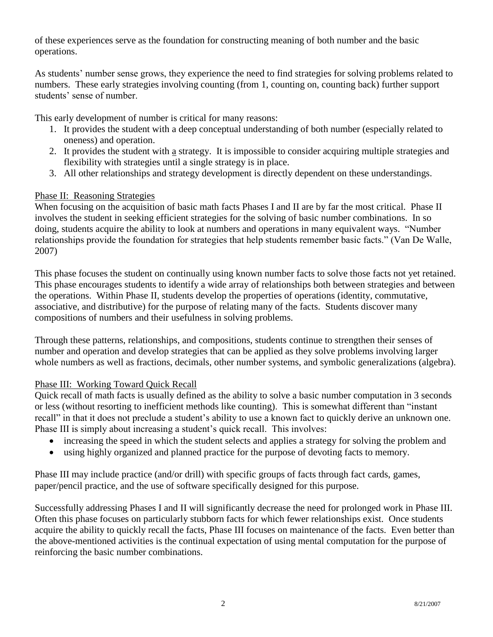of these experiences serve as the foundation for constructing meaning of both number and the basic operations.

As students' number sense grows, they experience the need to find strategies for solving problems related to numbers. These early strategies involving counting (from 1, counting on, counting back) further support students' sense of number.

This early development of number is critical for many reasons:

- 1. It provides the student with a deep conceptual understanding of both number (especially related to oneness) and operation.
- 2. It provides the student with a strategy. It is impossible to consider acquiring multiple strategies and flexibility with strategies until a single strategy is in place.
- 3. All other relationships and strategy development is directly dependent on these understandings.

### Phase II: Reasoning Strategies

When focusing on the acquisition of basic math facts Phases I and II are by far the most critical. Phase II involves the student in seeking efficient strategies for the solving of basic number combinations. In so doing, students acquire the ability to look at numbers and operations in many equivalent ways. "Number relationships provide the foundation for strategies that help students remember basic facts." (Van De Walle, 2007)

This phase focuses the student on continually using known number facts to solve those facts not yet retained. This phase encourages students to identify a wide array of relationships both between strategies and between the operations. Within Phase II, students develop the properties of operations (identity, commutative, associative, and distributive) for the purpose of relating many of the facts. Students discover many compositions of numbers and their usefulness in solving problems.

Through these patterns, relationships, and compositions, students continue to strengthen their senses of number and operation and develop strategies that can be applied as they solve problems involving larger whole numbers as well as fractions, decimals, other number systems, and symbolic generalizations (algebra).

### Phase III: Working Toward Quick Recall

Quick recall of math facts is usually defined as the ability to solve a basic number computation in 3 seconds or less (without resorting to inefficient methods like counting). This is somewhat different than "instant recall" in that it does not preclude a student's ability to use a known fact to quickly derive an unknown one. Phase III is simply about increasing a student's quick recall. This involves:

- increasing the speed in which the student selects and applies a strategy for solving the problem and
- using highly organized and planned practice for the purpose of devoting facts to memory.

Phase III may include practice (and/or drill) with specific groups of facts through fact cards, games, paper/pencil practice, and the use of software specifically designed for this purpose.

Successfully addressing Phases I and II will significantly decrease the need for prolonged work in Phase III. Often this phase focuses on particularly stubborn facts for which fewer relationships exist. Once students acquire the ability to quickly recall the facts, Phase III focuses on maintenance of the facts. Even better than the above-mentioned activities is the continual expectation of using mental computation for the purpose of reinforcing the basic number combinations.